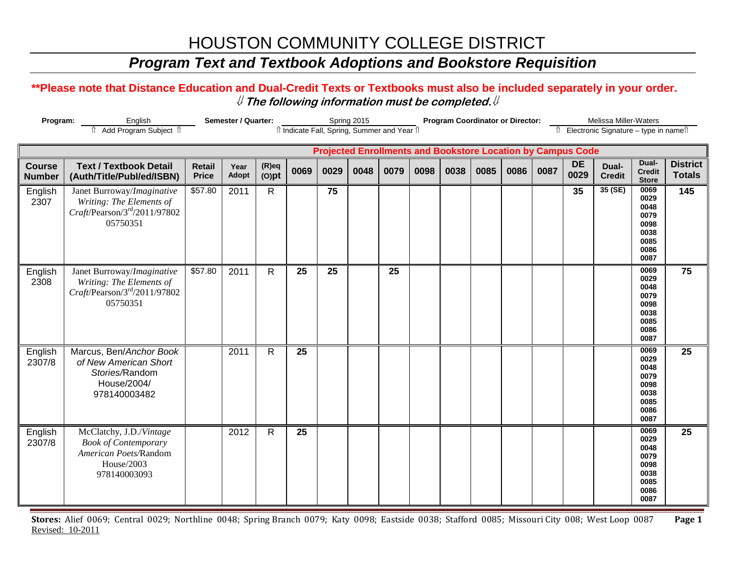### *Program Text and Textbook Adoptions and Bookstore Requisition*

#### **\*\*Please note that Distance Education and Dual-Credit Texts or Textbooks must also be included separately in your order.**  ⇓ **The following information must be completed.**⇓

| Program:                       | English<br>Add Program Subject 1                                                                                   |                               | Semester / Quarter: |                      |      |      | Spring 2015 | îl Indicate Fall, Spring, Summer and Year îl                       |      | <b>Program Coordinator or Director:</b> |      |      |      |                   | Melissa Miller-Waters<br>Electronic Signature - type in namell |                                                                      |                                  |
|--------------------------------|--------------------------------------------------------------------------------------------------------------------|-------------------------------|---------------------|----------------------|------|------|-------------|--------------------------------------------------------------------|------|-----------------------------------------|------|------|------|-------------------|----------------------------------------------------------------|----------------------------------------------------------------------|----------------------------------|
|                                |                                                                                                                    |                               |                     |                      |      |      |             | <b>Projected Enrollments and Bookstore Location by Campus Code</b> |      |                                         |      |      |      |                   |                                                                |                                                                      |                                  |
| <b>Course</b><br><b>Number</b> | <b>Text / Textbook Detail</b><br>(Auth/Title/Publ/ed/ISBN)                                                         | <b>Retail</b><br><b>Price</b> | Year<br>Adopt       | $(R)$ eq<br>$(O)$ pt | 0069 | 0029 | 0048        | 0079                                                               | 0098 | 0038                                    | 0085 | 0086 | 0087 | <b>DE</b><br>0029 | Dual-<br><b>Credit</b>                                         | Dual-<br><b>Credit</b><br><b>Store</b>                               | <b>District</b><br><b>Totals</b> |
| English<br>2307                | Janet Burroway/Imaginative<br>Writing: The Elements of<br>$Craft$ /Pearson/3 <sup>rd</sup> /2011/97802<br>05750351 | \$57.80                       | 2011                | $\mathsf{R}$         |      | 75   |             |                                                                    |      |                                         |      |      |      | 35                | 35(SE)                                                         | 0069<br>0029<br>0048<br>0079<br>0098<br>0038<br>0085<br>0086<br>0087 | 145                              |
| English<br>2308                | Janet Burroway/Imaginative<br>Writing: The Elements of<br>$Craft$ /Pearson/3 <sup>rd</sup> /2011/97802<br>05750351 | \$57.80                       | 2011                | $\mathsf{R}$         | 25   | 25   |             | 25                                                                 |      |                                         |      |      |      |                   |                                                                | 0069<br>0029<br>0048<br>0079<br>0098<br>0038<br>0085<br>0086<br>0087 | 75                               |
| English<br>2307/8              | Marcus, Ben/Anchor Book<br>of New American Short<br>Stories/Random<br>House/2004/<br>978140003482                  |                               | 2011                | $\mathsf{R}$         | 25   |      |             |                                                                    |      |                                         |      |      |      |                   |                                                                | 0069<br>0029<br>0048<br>0079<br>0098<br>0038<br>0085<br>0086<br>0087 | 25                               |
| English<br>2307/8              | McClatchy, J.D./Vintage<br><b>Book of Contemporary</b><br>American Poets/Random<br>House/2003<br>978140003093      |                               | 2012                | $\mathsf{R}$         | 25   |      |             |                                                                    |      |                                         |      |      |      |                   |                                                                | 0069<br>0029<br>0048<br>0079<br>0098<br>0038<br>0085<br>0086<br>0087 | 25                               |

**Stores:** Alief 0069; Central 0029; Northline 0048; Spring Branch 0079; Katy 0098; Eastside 0038; Stafford 0085; Missouri City 008; West Loop 0087 **Page 1** Revised: 10-2011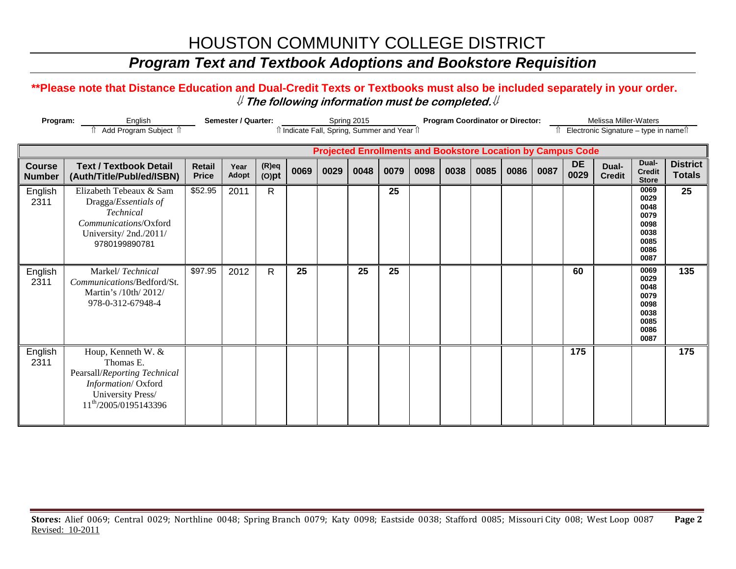### *Program Text and Textbook Adoptions and Bookstore Requisition*

#### **\*\*Please note that Distance Education and Dual-Credit Texts or Textbooks must also be included separately in your order.**  ⇓ **The following information must be completed.**⇓

| Program:                       | English<br>f Add Program Subject f                                                                                                              |                               | <b>Semester / Quarter:</b> |                      |      | î Indicate Fall, Spring, Summer and Year î | Spring 2015 |      |      |      | <b>Program Coordinator or Director:</b> |      |      |                                                                    | Melissa Miller-Waters<br>Electronic Signature - type in namest |                                                                      |                                  |
|--------------------------------|-------------------------------------------------------------------------------------------------------------------------------------------------|-------------------------------|----------------------------|----------------------|------|--------------------------------------------|-------------|------|------|------|-----------------------------------------|------|------|--------------------------------------------------------------------|----------------------------------------------------------------|----------------------------------------------------------------------|----------------------------------|
|                                |                                                                                                                                                 |                               |                            |                      |      |                                            |             |      |      |      |                                         |      |      | <b>Projected Enrollments and Bookstore Location by Campus Code</b> |                                                                |                                                                      |                                  |
| <b>Course</b><br><b>Number</b> | <b>Text / Textbook Detail</b><br>(Auth/Title/Publ/ed/ISBN)                                                                                      | <b>Retail</b><br><b>Price</b> | Year<br><b>Adopt</b>       | $(R)$ eq<br>$(O)$ pt | 0069 | 0029                                       | 0048        | 0079 | 0098 | 0038 | 0085                                    | 0086 | 0087 | <b>DE</b><br>0029                                                  | Dual-<br><b>Credit</b>                                         | Dual-<br><b>Credit</b><br><b>Store</b>                               | <b>District</b><br><b>Totals</b> |
| English<br>2311                | Elizabeth Tebeaux & Sam<br>Dragga/Essentials of<br>Technical<br>Communications/Oxford<br>University/2nd./2011/<br>9780199890781                 | \$52.95                       | 2011                       | $\mathsf{R}$         |      |                                            |             | 25   |      |      |                                         |      |      |                                                                    |                                                                | 0069<br>0029<br>0048<br>0079<br>0098<br>0038<br>0085<br>0086<br>0087 | 25                               |
| English<br>2311                | Markel/Technical<br>Communications/Bedford/St.<br>Martin's /10th/ 2012/<br>978-0-312-67948-4                                                    | \$97.95                       | 2012                       | R                    | 25   |                                            | 25          | 25   |      |      |                                         |      |      | 60                                                                 |                                                                | 0069<br>0029<br>0048<br>0079<br>0098<br>0038<br>0085<br>0086<br>0087 | 135                              |
| English<br>2311                | Houp, Kenneth W. &<br>Thomas E.<br>Pearsall/Reporting Technical<br>Information/Oxford<br>University Press/<br>11 <sup>th</sup> /2005/0195143396 |                               |                            |                      |      |                                            |             |      |      |      |                                         |      |      | 175                                                                |                                                                |                                                                      | 175                              |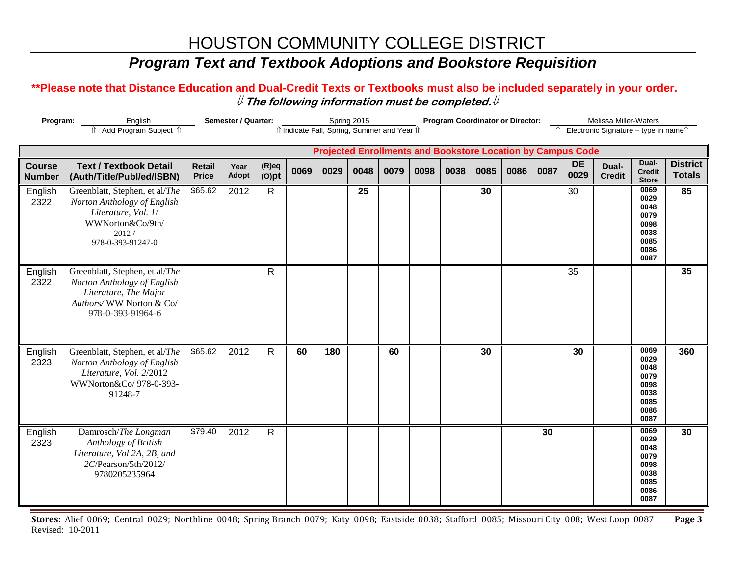### *Program Text and Textbook Adoptions and Bookstore Requisition*

#### **\*\*Please note that Distance Education and Dual-Credit Texts or Textbooks must also be included separately in your order.**  ⇓ **The following information must be completed.**⇓

| Program:                       | English<br>Add Program Subject 1                                                                                                       |                               | Semester / Quarter: |                      |      |      | Spring 2015 | îl Indicate Fall, Spring, Summer and Year îl                       |      | <b>Program Coordinator or Director:</b> |      |      |      |                   | Melissa Miller-Waters<br>Electronic Signature - type in namell |                                                                      |                                  |
|--------------------------------|----------------------------------------------------------------------------------------------------------------------------------------|-------------------------------|---------------------|----------------------|------|------|-------------|--------------------------------------------------------------------|------|-----------------------------------------|------|------|------|-------------------|----------------------------------------------------------------|----------------------------------------------------------------------|----------------------------------|
|                                |                                                                                                                                        |                               |                     |                      |      |      |             |                                                                    |      |                                         |      |      |      |                   |                                                                |                                                                      |                                  |
|                                |                                                                                                                                        |                               |                     |                      |      |      |             | <b>Projected Enrollments and Bookstore Location by Campus Code</b> |      |                                         |      |      |      |                   |                                                                |                                                                      |                                  |
| <b>Course</b><br><b>Number</b> | <b>Text / Textbook Detail</b><br>(Auth/Title/Publ/ed/ISBN)                                                                             | <b>Retail</b><br><b>Price</b> | Year<br>Adopt       | $(R)$ eq<br>$(O)$ pt | 0069 | 0029 | 0048        | 0079                                                               | 0098 | 0038                                    | 0085 | 0086 | 0087 | <b>DE</b><br>0029 | Dual-<br><b>Credit</b>                                         | Dual-<br><b>Credit</b><br><b>Store</b>                               | <b>District</b><br><b>Totals</b> |
| English<br>2322                | Greenblatt, Stephen, et al/The<br>Norton Anthology of English<br>Literature, Vol. 1/<br>WWNorton&Co/9th/<br>2012/<br>978-0-393-91247-0 | \$65.62                       | 2012                | $\mathsf{R}$         |      |      | 25          |                                                                    |      |                                         | 30   |      |      | 30                |                                                                | 0069<br>0029<br>0048<br>0079<br>0098<br>0038<br>0085<br>0086<br>0087 | 85                               |
| English<br>2322                | Greenblatt, Stephen, et al/The<br>Norton Anthology of English<br>Literature, The Major<br>Authors/WW Norton & Co/<br>978-0-393-91964-6 |                               |                     | R                    |      |      |             |                                                                    |      |                                         |      |      |      | 35                |                                                                |                                                                      | 35                               |
| English<br>2323                | Greenblatt, Stephen, et al/The<br>Norton Anthology of English<br>Literature, Vol. 2/2012<br>WWNorton&Co/ 978-0-393-<br>91248-7         | \$65.62                       | 2012                | $\mathsf{R}$         | 60   | 180  |             | 60                                                                 |      |                                         | 30   |      |      | 30                |                                                                | 0069<br>0029<br>0048<br>0079<br>0098<br>0038<br>0085<br>0086<br>0087 | 360                              |
| English<br>2323                | Damrosch/The Longman<br>Anthology of British<br>Literature, Vol 2A, 2B, and<br>2C/Pearson/5th/2012/<br>9780205235964                   | \$79.40                       | 2012                | $\mathsf{R}$         |      |      |             |                                                                    |      |                                         |      |      | 30   |                   |                                                                | 0069<br>0029<br>0048<br>0079<br>0098<br>0038<br>0085<br>0086<br>0087 | 30                               |

**Stores:** Alief 0069; Central 0029; Northline 0048; Spring Branch 0079; Katy 0098; Eastside 0038; Stafford 0085; Missouri City 008; West Loop 0087 **Page 3** Revised: 10-2011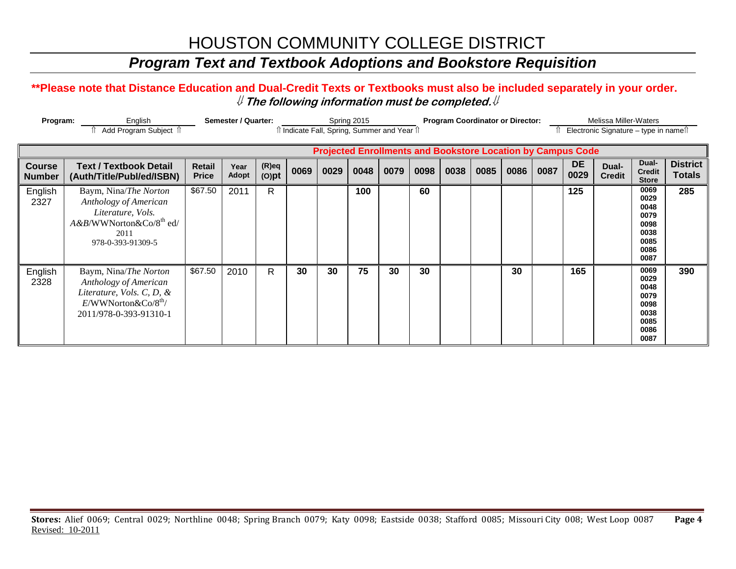### *Program Text and Textbook Adoptions and Bookstore Requisition*

#### **\*\*Please note that Distance Education and Dual-Credit Texts or Textbooks must also be included separately in your order.**  ⇓ **The following information must be completed.**⇓

| Program:                       | English<br>। Add Program Subject ।                                                                                                                  |                               | Semester / Quarter:  |                      |      |      | Spring 2015 | î Indicate Fall, Spring, Summer and Year î |      | <b>Program Coordinator or Director:</b> |      |      |      |                                                                    | <b>Melissa Miller-Waters</b><br>Electronic Signature – type in nameîl |                                                                      |                                  |
|--------------------------------|-----------------------------------------------------------------------------------------------------------------------------------------------------|-------------------------------|----------------------|----------------------|------|------|-------------|--------------------------------------------|------|-----------------------------------------|------|------|------|--------------------------------------------------------------------|-----------------------------------------------------------------------|----------------------------------------------------------------------|----------------------------------|
|                                |                                                                                                                                                     |                               |                      |                      |      |      |             |                                            |      |                                         |      |      |      | <b>Projected Enrollments and Bookstore Location by Campus Code</b> |                                                                       |                                                                      |                                  |
| <b>Course</b><br><b>Number</b> | <b>Text / Textbook Detail</b><br>(Auth/Title/Publ/ed/ISBN)                                                                                          | <b>Retail</b><br><b>Price</b> | Year<br><b>Adopt</b> | $(R)$ eq<br>$(O)$ pt | 0069 | 0029 | 0048        | 0079                                       | 0098 | 0038                                    | 0085 | 0086 | 0087 | <b>DE</b><br>0029                                                  | Dual-<br><b>Credit</b>                                                | Dual-<br><b>Credit</b><br><b>Store</b>                               | <b>District</b><br><b>Totals</b> |
| English<br>2327                | Baym, Nina/The Norton<br>Anthology of American<br>Literature, Vols.<br>$A & B/WWN$ orton $\&$ Co/8 <sup>th</sup> ed/<br>2011<br>978-0-393-91309-5   | \$67.50                       | 2011                 | R                    |      |      | 100         |                                            | 60   |                                         |      |      |      | 125                                                                |                                                                       | 0069<br>0029<br>0048<br>0079<br>0098<br>0038<br>0085<br>0086<br>0087 | 285                              |
| English<br>2328                | Baym, Nina/The Norton<br>Anthology of American<br>Literature, Vols. C, D, $\&$<br>$E/WW$ Norton $\&$ Co/8 <sup>th</sup> /<br>2011/978-0-393-91310-1 | \$67.50                       | 2010                 | R                    | 30   | 30   | 75          | 30                                         | 30   |                                         |      | 30   |      | 165                                                                |                                                                       | 0069<br>0029<br>0048<br>0079<br>0098<br>0038<br>0085<br>0086<br>0087 | 390                              |

**Stores:** Alief 0069; Central 0029; Northline 0048; Spring Branch 0079; Katy 0098; Eastside 0038; Stafford 0085; Missouri City 008; West Loop 0087 **Page 4** Revised: 10-2011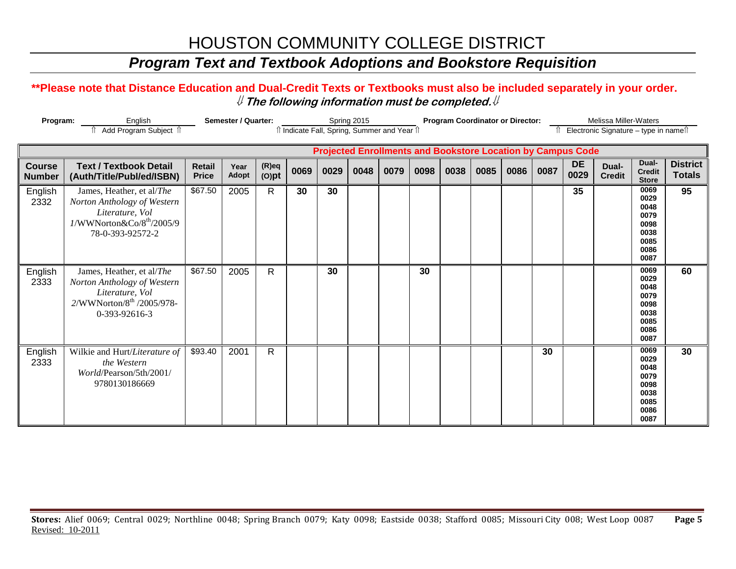### *Program Text and Textbook Adoptions and Bookstore Requisition*

#### **\*\*Please note that Distance Education and Dual-Credit Texts or Textbooks must also be included separately in your order.**  ⇓ **The following information must be completed.**⇓

| Program:                       | English<br>Add Program Subject 1                                                                                                                     |                               | <b>Semester / Quarter:</b> |                      |      |      | Spring 2015 | î Indicate Fall, Spring, Summer and Year î                         |      | <b>Program Coordinator or Director:</b> |      |      |      |                   | <b>Melissa Miller-Waters</b><br>Electronic Signature - type in namest |                                                                      |                                  |
|--------------------------------|------------------------------------------------------------------------------------------------------------------------------------------------------|-------------------------------|----------------------------|----------------------|------|------|-------------|--------------------------------------------------------------------|------|-----------------------------------------|------|------|------|-------------------|-----------------------------------------------------------------------|----------------------------------------------------------------------|----------------------------------|
|                                |                                                                                                                                                      |                               |                            |                      |      |      |             | <b>Projected Enrollments and Bookstore Location by Campus Code</b> |      |                                         |      |      |      |                   |                                                                       |                                                                      |                                  |
| <b>Course</b><br><b>Number</b> | <b>Text / Textbook Detail</b><br>(Auth/Title/Publ/ed/ISBN)                                                                                           | <b>Retail</b><br><b>Price</b> | Year<br><b>Adopt</b>       | $(R)$ eq<br>$(O)$ pt | 0069 | 0029 | 0048        | 0079                                                               | 0098 | 0038                                    | 0085 | 0086 | 0087 | <b>DE</b><br>0029 | Dual-<br><b>Credit</b>                                                | Dual-<br><b>Credit</b><br><b>Store</b>                               | <b>District</b><br><b>Totals</b> |
| English<br>2332                | James, Heather, et al/The<br>Norton Anthology of Western<br>Literature, Vol<br>$1/\text{WWNorton}\&\text{Co}/8^\text{th}/2005/9$<br>78-0-393-92572-2 | \$67.50                       | 2005                       | R                    | 30   | 30   |             |                                                                    |      |                                         |      |      |      | 35                |                                                                       | 0069<br>0029<br>0048<br>0079<br>0098<br>0038<br>0085<br>0086<br>0087 | 95                               |
| English<br>2333                | James, Heather, et al/The<br>Norton Anthology of Western<br>Literature, Vol<br>2/WWNorton/8 <sup>th</sup> /2005/978-<br>0-393-92616-3                | \$67.50                       | 2005                       | $\mathsf{R}$         |      | 30   |             |                                                                    | 30   |                                         |      |      |      |                   |                                                                       | 0069<br>0029<br>0048<br>0079<br>0098<br>0038<br>0085<br>0086<br>0087 | 60                               |
| English<br>2333                | Wilkie and Hurt/Literature of<br>the Western<br>World/Pearson/5th/2001/<br>9780130186669                                                             | \$93.40                       | 2001                       | $\mathsf{R}$         |      |      |             |                                                                    |      |                                         |      |      | 30   |                   |                                                                       | 0069<br>0029<br>0048<br>0079<br>0098<br>0038<br>0085<br>0086<br>0087 | 30                               |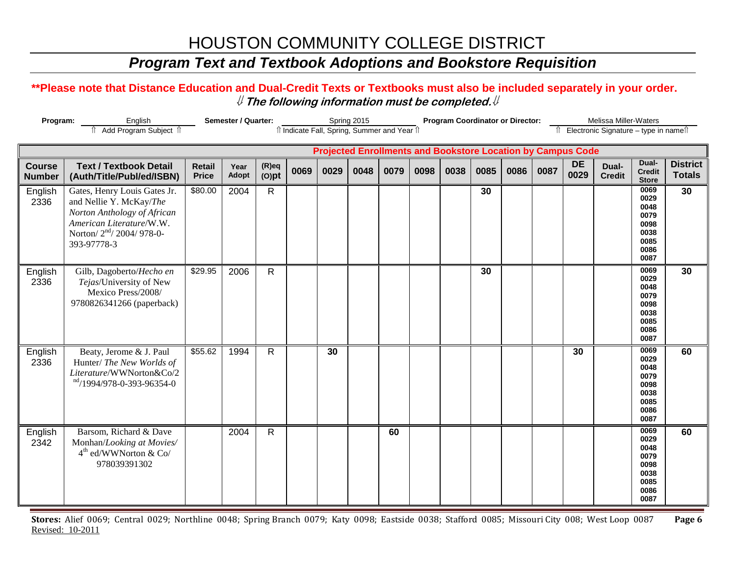### *Program Text and Textbook Adoptions and Bookstore Requisition*

#### **\*\*Please note that Distance Education and Dual-Credit Texts or Textbooks must also be included separately in your order.**  ⇓ **The following information must be completed.**⇓

| Program:                       | English<br>Add Program Subject 1                                                                                                                                         |                               | Semester / Quarter: |                      |      |      | Spring 2015 | îl Indicate Fall, Spring, Summer and Year îl |      | <b>Program Coordinator or Director:</b>                            |      |      |      |                   | Melissa Miller-Waters<br>Electronic Signature - type in namell |                                                                      |                                  |
|--------------------------------|--------------------------------------------------------------------------------------------------------------------------------------------------------------------------|-------------------------------|---------------------|----------------------|------|------|-------------|----------------------------------------------|------|--------------------------------------------------------------------|------|------|------|-------------------|----------------------------------------------------------------|----------------------------------------------------------------------|----------------------------------|
|                                |                                                                                                                                                                          |                               |                     |                      |      |      |             |                                              |      | <b>Projected Enrollments and Bookstore Location by Campus Code</b> |      |      |      |                   |                                                                |                                                                      |                                  |
| <b>Course</b><br><b>Number</b> | <b>Text / Textbook Detail</b><br>(Auth/Title/Publ/ed/ISBN)                                                                                                               | <b>Retail</b><br><b>Price</b> | Year<br>Adopt       | $(R)$ eq<br>$(O)$ pt | 0069 | 0029 | 0048        | 0079                                         | 0098 | 0038                                                               | 0085 | 0086 | 0087 | <b>DE</b><br>0029 | Dual-<br><b>Credit</b>                                         | Dual-<br><b>Credit</b><br><b>Store</b>                               | <b>District</b><br><b>Totals</b> |
| English<br>2336                | Gates, Henry Louis Gates Jr.<br>and Nellie Y. McKay/The<br>Norton Anthology of African<br>American Literature/W.W.<br>Norton/2 <sup>nd</sup> /2004/978-0-<br>393-97778-3 | \$80.00                       | 2004                | $\mathsf{R}$         |      |      |             |                                              |      |                                                                    | 30   |      |      |                   |                                                                | 0069<br>0029<br>0048<br>0079<br>0098<br>0038<br>0085<br>0086<br>0087 | 30                               |
| English<br>2336                | Gilb, Dagoberto/Hecho en<br>Tejas/University of New<br>Mexico Press/2008/<br>9780826341266 (paperback)                                                                   | \$29.95                       | 2006                | $\mathsf{R}$         |      |      |             |                                              |      |                                                                    | 30   |      |      |                   |                                                                | 0069<br>0029<br>0048<br>0079<br>0098<br>0038<br>0085<br>0086<br>0087 | 30                               |
| English<br>2336                | Beaty, Jerome & J. Paul<br>Hunter/ The New Worlds of<br>Literature/WWNorton&Co/2<br>nd/1994/978-0-393-96354-0                                                            | \$55.62                       | 1994                | $\mathsf{R}$         |      | 30   |             |                                              |      |                                                                    |      |      |      | 30                |                                                                | 0069<br>0029<br>0048<br>0079<br>0098<br>0038<br>0085<br>0086<br>0087 | 60                               |
| English<br>2342                | Barsom, Richard & Dave<br>Monhan/Looking at Movies/<br>4 <sup>th</sup> ed/WWNorton & Co/<br>978039391302                                                                 |                               | 2004                | $\mathsf{R}$         |      |      |             | 60                                           |      |                                                                    |      |      |      |                   |                                                                | 0069<br>0029<br>0048<br>0079<br>0098<br>0038<br>0085<br>0086<br>0087 | 60                               |

**Stores:** Alief 0069; Central 0029; Northline 0048; Spring Branch 0079; Katy 0098; Eastside 0038; Stafford 0085; Missouri City 008; West Loop 0087 **Page 6** Revised: 10-2011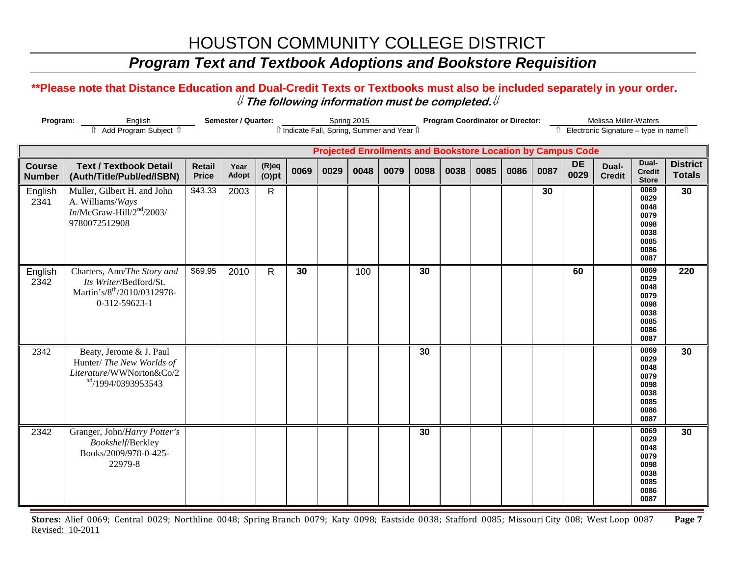### *Program Text and Textbook Adoptions and Bookstore Requisition*

#### **\*\*Please note that Distance Education and Dual-Credit Texts or Textbooks must also be included separately in your order.**  ⇓ **The following information must be completed.**⇓

| Program:                       | English<br>fî Add Program Subject îl                                                                              |                               | Semester / Quarter: |                      |      |      | Spring 2015 | îl Indicate Fall, Spring, Summer and Year îl                       |      |      | <b>Program Coordinator or Director:</b> |      |      |                   | Melissa Miller-Waters<br>î Electronic Signature - type in nameî |                                                                      |                                  |
|--------------------------------|-------------------------------------------------------------------------------------------------------------------|-------------------------------|---------------------|----------------------|------|------|-------------|--------------------------------------------------------------------|------|------|-----------------------------------------|------|------|-------------------|-----------------------------------------------------------------|----------------------------------------------------------------------|----------------------------------|
|                                |                                                                                                                   |                               |                     |                      |      |      |             | <b>Projected Enrollments and Bookstore Location by Campus Code</b> |      |      |                                         |      |      |                   |                                                                 |                                                                      |                                  |
| <b>Course</b><br><b>Number</b> | <b>Text / Textbook Detail</b><br>(Auth/Title/Publ/ed/ISBN)                                                        | <b>Retail</b><br><b>Price</b> | Year<br>Adopt       | $(R)$ eq<br>$(O)$ pt | 0069 | 0029 | 0048        | 0079                                                               | 0098 | 0038 | 0085                                    | 0086 | 0087 | <b>DE</b><br>0029 | Dual-<br><b>Credit</b>                                          | Dual-<br><b>Credit</b><br><b>Store</b>                               | <b>District</b><br><b>Totals</b> |
| English<br>2341                | Muller, Gilbert H. and John<br>A. Williams/Ways<br>$In/McGraw-Hill/2nd/2003/$<br>9780072512908                    | \$43.33                       | 2003                | $\mathsf{R}$         |      |      |             |                                                                    |      |      |                                         |      | 30   |                   |                                                                 | 0069<br>0029<br>0048<br>0079<br>0098<br>0038<br>0085<br>0086<br>0087 | 30                               |
| English<br>2342                | Charters, Ann/The Story and<br>Its Writer/Bedford/St.<br>Martin's/8 <sup>th</sup> /2010/0312978-<br>0-312-59623-1 | \$69.95                       | 2010                | $\mathsf{R}$         | 30   |      | 100         |                                                                    | 30   |      |                                         |      |      | 60                |                                                                 | 0069<br>0029<br>0048<br>0079<br>0098<br>0038<br>0085<br>0086<br>0087 | 220                              |
| 2342                           | Beaty, Jerome & J. Paul<br>Hunter/ The New Worlds of<br>Literature/WWNorton&Co/2<br>nd/1994/0393953543            |                               |                     |                      |      |      |             |                                                                    | 30   |      |                                         |      |      |                   |                                                                 | 0069<br>0029<br>0048<br>0079<br>0098<br>0038<br>0085<br>0086<br>0087 | 30                               |
| 2342                           | Granger, John/Harry Potter's<br>Bookshelf/Berkley<br>Books/2009/978-0-425-<br>22979-8                             |                               |                     |                      |      |      |             |                                                                    | 30   |      |                                         |      |      |                   |                                                                 | 0069<br>0029<br>0048<br>0079<br>0098<br>0038<br>0085<br>0086<br>0087 | 30                               |

**Stores:** Alief 0069; Central 0029; Northline 0048; Spring Branch 0079; Katy 0098; Eastside 0038; Stafford 0085; Missouri City 008; West Loop 0087 **Page 7** Revised: 10-2011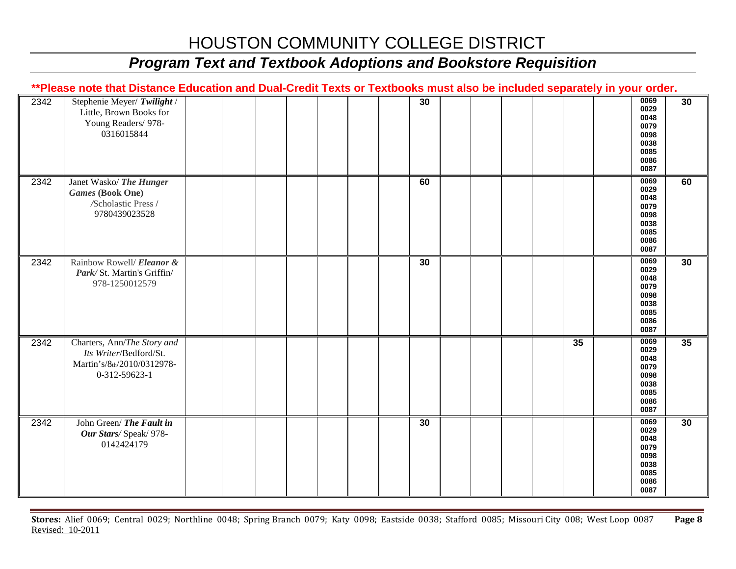# *Program Text and Textbook Adoptions and Bookstore Requisition*

|      | **Please note that Distance Education and Dual-Credit Texts or Textbooks must also be included separately in your order. |  |  |    |  |    |                                                                      |    |
|------|--------------------------------------------------------------------------------------------------------------------------|--|--|----|--|----|----------------------------------------------------------------------|----|
| 2342 | Stephenie Meyer/ Twilight /<br>Little, Brown Books for<br>Young Readers/ 978-<br>0316015844                              |  |  | 30 |  |    | 0069<br>0029<br>0048<br>0079<br>0098<br>0038<br>0085<br>0086<br>0087 | 30 |
| 2342 | Janet Wasko/ The Hunger<br><b>Games</b> (Book One)<br>/Scholastic Press /<br>9780439023528                               |  |  | 60 |  |    | 0069<br>0029<br>0048<br>0079<br>0098<br>0038<br>0085<br>0086<br>0087 | 60 |
| 2342 | Rainbow Rowell/ Eleanor &<br>Park/St. Martin's Griffin/<br>978-1250012579                                                |  |  | 30 |  |    | 0069<br>0029<br>0048<br>0079<br>0098<br>0038<br>0085<br>0086<br>0087 | 30 |
| 2342 | Charters, Ann/The Story and<br>Its Writer/Bedford/St.<br>Martin's/8th/2010/0312978-<br>0-312-59623-1                     |  |  |    |  | 35 | 0069<br>0029<br>0048<br>0079<br>0098<br>0038<br>0085<br>0086<br>0087 | 35 |
| 2342 | John Green/ The Fault in<br>Our Stars/Speak/ 978-<br>0142424179                                                          |  |  | 30 |  |    | 0069<br>0029<br>0048<br>0079<br>0098<br>0038<br>0085<br>0086<br>0087 | 30 |

**Stores:** Alief 0069; Central 0029; Northline 0048; Spring Branch 0079; Katy 0098; Eastside 0038; Stafford 0085; Missouri City 008; West Loop 0087 **Page 8** Revised: 10-2011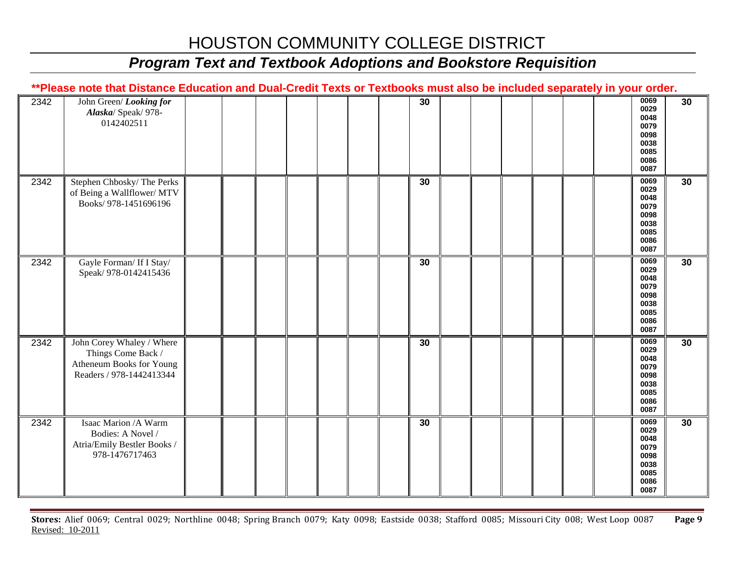# *Program Text and Textbook Adoptions and Bookstore Requisition*

|      | **Please note that Distance Education and Dual-Credit Texts or Textbooks must also be included separately in your order. |  |  |  |    |  |  |  |                                                                      |    |
|------|--------------------------------------------------------------------------------------------------------------------------|--|--|--|----|--|--|--|----------------------------------------------------------------------|----|
| 2342 | John Green/Looking for<br>Alaska/ Speak/ 978-<br>0142402511                                                              |  |  |  | 30 |  |  |  | 0069<br>0029<br>0048<br>0079<br>0098<br>0038<br>0085<br>0086<br>0087 | 30 |
| 2342 | Stephen Chbosky/The Perks<br>of Being a Wallflower/ MTV<br>Books/978-1451696196                                          |  |  |  | 30 |  |  |  | 0069<br>0029<br>0048<br>0079<br>0098<br>0038<br>0085<br>0086<br>0087 | 30 |
| 2342 | Gayle Forman/ If I Stay/<br>Speak/ 978-0142415436                                                                        |  |  |  | 30 |  |  |  | 0069<br>0029<br>0048<br>0079<br>0098<br>0038<br>0085<br>0086<br>0087 | 30 |
| 2342 | John Corey Whaley / Where<br>Things Come Back /<br>Atheneum Books for Young<br>Readers / 978-1442413344                  |  |  |  | 30 |  |  |  | 0069<br>0029<br>0048<br>0079<br>0098<br>0038<br>0085<br>0086<br>0087 | 30 |
| 2342 | Isaac Marion /A Warm<br>Bodies: A Novel /<br>Atria/Emily Bestler Books /<br>978-1476717463                               |  |  |  | 30 |  |  |  | 0069<br>0029<br>0048<br>0079<br>0098<br>0038<br>0085<br>0086<br>0087 | 30 |

**Stores:** Alief 0069; Central 0029; Northline 0048; Spring Branch 0079; Katy 0098; Eastside 0038; Stafford 0085; Missouri City 008; West Loop 0087 **Page 9** Revised: 10-2011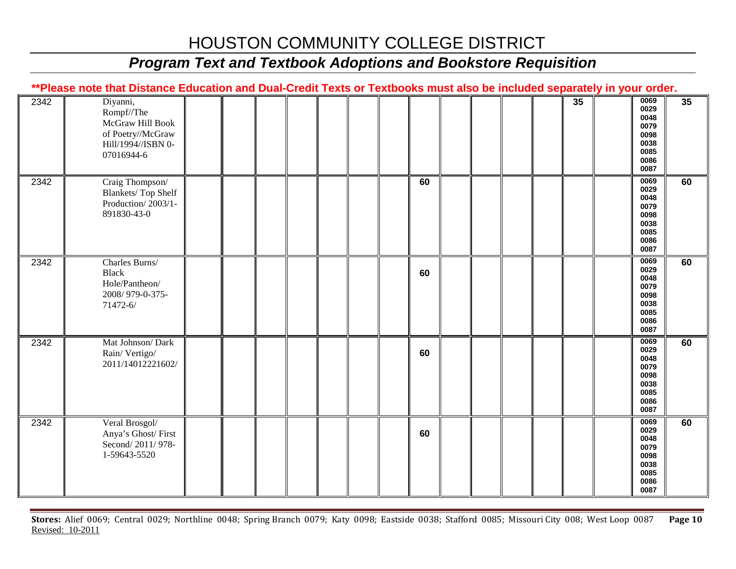# *Program Text and Textbook Adoptions and Bookstore Requisition*

|      | **Please note that Distance Education and Dual-Credit Texts or Textbooks must also be included separately in your order. |  |  |  |    |  |  |                 |                                                                      |    |
|------|--------------------------------------------------------------------------------------------------------------------------|--|--|--|----|--|--|-----------------|----------------------------------------------------------------------|----|
| 2342 | Diyanni,<br>Rompf//The<br>McGraw Hill Book<br>of Poetry//McGraw<br>Hill/1994//ISBN 0-<br>07016944-6                      |  |  |  |    |  |  | $\overline{35}$ | 0069<br>0029<br>0048<br>0079<br>0098<br>0038<br>0085<br>0086<br>0087 | 35 |
| 2342 | Craig Thompson/<br><b>Blankets/Top Shelf</b><br>Production/2003/1-<br>891830-43-0                                        |  |  |  | 60 |  |  |                 | 0069<br>0029<br>0048<br>0079<br>0098<br>0038<br>0085<br>0086<br>0087 | 60 |
| 2342 | Charles Burns/<br><b>Black</b><br>Hole/Pantheon/<br>2008/979-0-375-<br>71472-6/                                          |  |  |  | 60 |  |  |                 | 0069<br>0029<br>0048<br>0079<br>0098<br>0038<br>0085<br>0086<br>0087 | 60 |
| 2342 | Mat Johnson/ Dark<br>Rain/Vertigo/<br>2011/14012221602/                                                                  |  |  |  | 60 |  |  |                 | 0069<br>0029<br>0048<br>0079<br>0098<br>0038<br>0085<br>0086<br>0087 | 60 |
| 2342 | Veral Brosgol/<br>Anya's Ghost/First<br>Second/2011/978-<br>1-59643-5520                                                 |  |  |  | 60 |  |  |                 | 0069<br>0029<br>0048<br>0079<br>0098<br>0038<br>0085<br>0086<br>0087 | 60 |

**Stores:** Alief 0069; Central 0029; Northline 0048; Spring Branch 0079; Katy 0098; Eastside 0038; Stafford 0085; Missouri City 008; West Loop 0087 **Page 10** Revised: 10-2011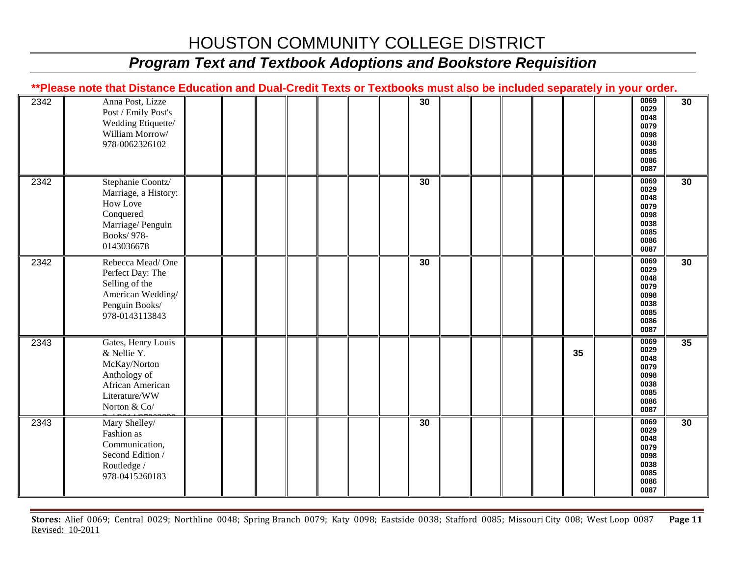### *Program Text and Textbook Adoptions and Bookstore Requisition*

|      | **Please note that Distance Education and Dual-Credit Texts or Textbooks must also be included separately in your order. |  |    |  |    |                                                                      |    |
|------|--------------------------------------------------------------------------------------------------------------------------|--|----|--|----|----------------------------------------------------------------------|----|
| 2342 | Anna Post, Lizze<br>Post / Emily Post's<br>Wedding Etiquette/<br>William Morrow/<br>978-0062326102                       |  | 30 |  |    | 0069<br>0029<br>0048<br>0079<br>0098<br>0038<br>0085<br>0086<br>0087 | 30 |
| 2342 | Stephanie Coontz/<br>Marriage, a History:<br>How Love<br>Conquered<br>Marriage/ Penguin<br>Books/978-<br>0143036678      |  | 30 |  |    | 0069<br>0029<br>0048<br>0079<br>0098<br>0038<br>0085<br>0086<br>0087 | 30 |
| 2342 | Rebecca Mead/One<br>Perfect Day: The<br>Selling of the<br>American Wedding/<br>Penguin Books/<br>978-0143113843          |  | 30 |  |    | 0069<br>0029<br>0048<br>0079<br>0098<br>0038<br>0085<br>0086<br>0087 | 30 |
| 2343 | Gates, Henry Louis<br>& Nellie Y.<br>McKay/Norton<br>Anthology of<br>African American<br>Literature/WW<br>Norton & Co/   |  |    |  | 35 | 0069<br>0029<br>0048<br>0079<br>0098<br>0038<br>0085<br>0086<br>0087 | 35 |
| 2343 | Mary Shelley/<br>Fashion as<br>Communication,<br>Second Edition /<br>Routledge /<br>978-0415260183                       |  | 30 |  |    | 0069<br>0029<br>0048<br>0079<br>0098<br>0038<br>0085<br>0086<br>0087 | 30 |

**Stores:** Alief 0069; Central 0029; Northline 0048; Spring Branch 0079; Katy 0098; Eastside 0038; Stafford 0085; Missouri City 008; West Loop 0087 **Page 11** Revised: 10-2011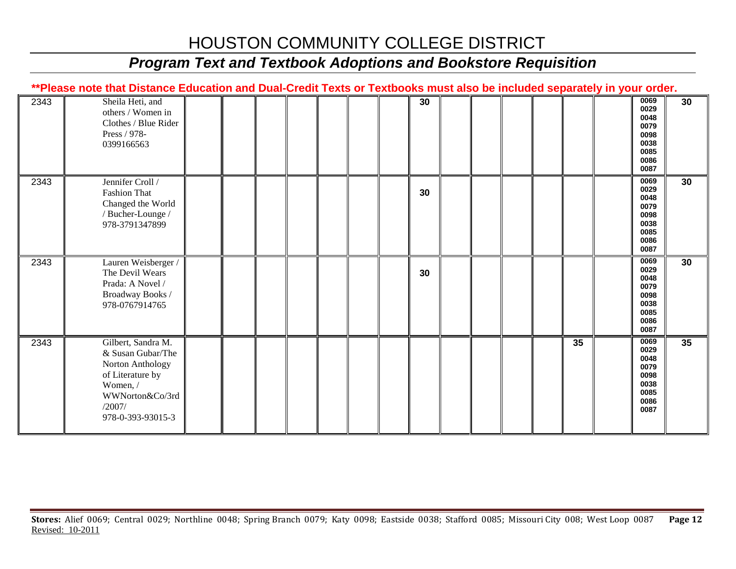# *Program Text and Textbook Adoptions and Bookstore Requisition*

|      | **Please note that Distance Education and Dual-Credit Texts or Textbooks must also be included separately in your order.                      |  |  |  |    |  |  |    |                                                                      |    |
|------|-----------------------------------------------------------------------------------------------------------------------------------------------|--|--|--|----|--|--|----|----------------------------------------------------------------------|----|
| 2343 | Sheila Heti, and<br>others / Women in<br>Clothes / Blue Rider<br>Press / 978-<br>0399166563                                                   |  |  |  | 30 |  |  |    | 0069<br>0029<br>0048<br>0079<br>0098<br>0038<br>0085<br>0086<br>0087 | 30 |
| 2343 | Jennifer Croll /<br><b>Fashion That</b><br>Changed the World<br>/ Bucher-Lounge /<br>978-3791347899                                           |  |  |  | 30 |  |  |    | 0069<br>0029<br>0048<br>0079<br>0098<br>0038<br>0085<br>0086<br>0087 | 30 |
| 2343 | Lauren Weisberger /<br>The Devil Wears<br>Prada: A Novel /<br>Broadway Books /<br>978-0767914765                                              |  |  |  | 30 |  |  |    | 0069<br>0029<br>0048<br>0079<br>0098<br>0038<br>0085<br>0086<br>0087 | 30 |
| 2343 | Gilbert, Sandra M.<br>& Susan Gubar/The<br>Norton Anthology<br>of Literature by<br>Women, /<br>WWNorton&Co/3rd<br>/2007/<br>978-0-393-93015-3 |  |  |  |    |  |  | 35 | 0069<br>0029<br>0048<br>0079<br>0098<br>0038<br>0085<br>0086<br>0087 | 35 |